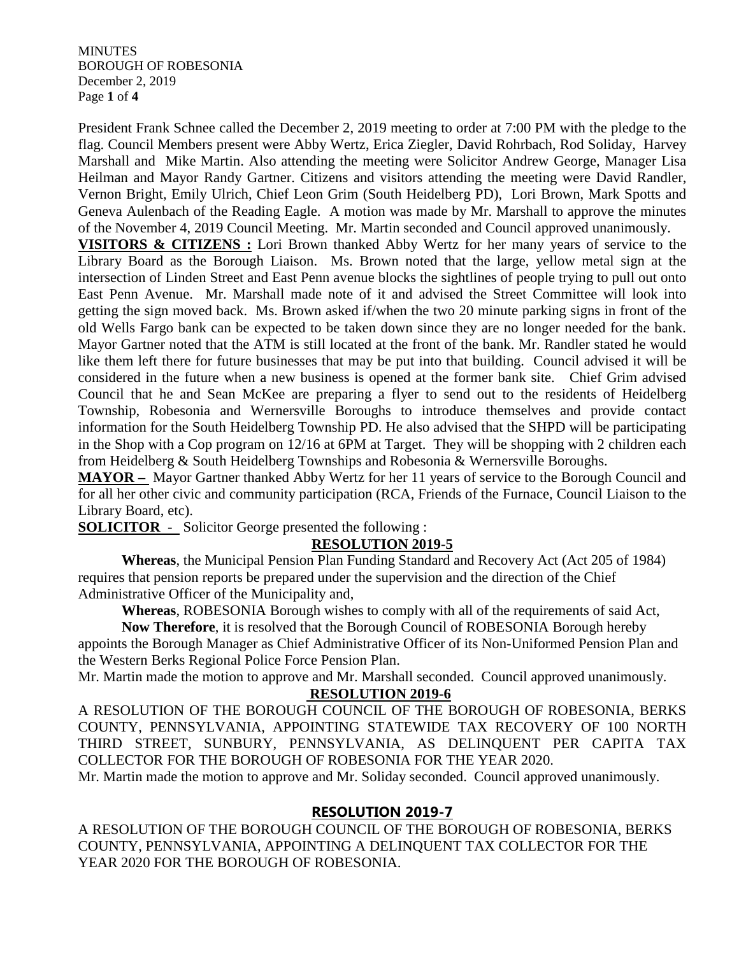**MINUTES** BOROUGH OF ROBESONIA December 2, 2019 Page **1** of **4**

President Frank Schnee called the December 2, 2019 meeting to order at 7:00 PM with the pledge to the flag. Council Members present were Abby Wertz, Erica Ziegler, David Rohrbach, Rod Soliday, Harvey Marshall and Mike Martin. Also attending the meeting were Solicitor Andrew George, Manager Lisa Heilman and Mayor Randy Gartner. Citizens and visitors attending the meeting were David Randler, Vernon Bright, Emily Ulrich, Chief Leon Grim (South Heidelberg PD), Lori Brown, Mark Spotts and Geneva Aulenbach of the Reading Eagle. A motion was made by Mr. Marshall to approve the minutes of the November 4, 2019 Council Meeting. Mr. Martin seconded and Council approved unanimously.

**VISITORS & CITIZENS :** Lori Brown thanked Abby Wertz for her many years of service to the Library Board as the Borough Liaison. Ms. Brown noted that the large, yellow metal sign at the intersection of Linden Street and East Penn avenue blocks the sightlines of people trying to pull out onto East Penn Avenue. Mr. Marshall made note of it and advised the Street Committee will look into getting the sign moved back. Ms. Brown asked if/when the two 20 minute parking signs in front of the old Wells Fargo bank can be expected to be taken down since they are no longer needed for the bank. Mayor Gartner noted that the ATM is still located at the front of the bank. Mr. Randler stated he would like them left there for future businesses that may be put into that building. Council advised it will be considered in the future when a new business is opened at the former bank site. Chief Grim advised Council that he and Sean McKee are preparing a flyer to send out to the residents of Heidelberg Township, Robesonia and Wernersville Boroughs to introduce themselves and provide contact information for the South Heidelberg Township PD. He also advised that the SHPD will be participating in the Shop with a Cop program on 12/16 at 6PM at Target. They will be shopping with 2 children each from Heidelberg & South Heidelberg Townships and Robesonia & Wernersville Boroughs.

**MAYOR –** Mayor Gartner thanked Abby Wertz for her 11 years of service to the Borough Council and for all her other civic and community participation (RCA, Friends of the Furnace, Council Liaison to the Library Board, etc).

**SOLICITOR** - Solicitor George presented the following :

# **RESOLUTION 2019-5**

**Whereas**, the Municipal Pension Plan Funding Standard and Recovery Act (Act 205 of 1984) requires that pension reports be prepared under the supervision and the direction of the Chief Administrative Officer of the Municipality and,

**Whereas**, ROBESONIA Borough wishes to comply with all of the requirements of said Act,

**Now Therefore**, it is resolved that the Borough Council of ROBESONIA Borough hereby appoints the Borough Manager as Chief Administrative Officer of its Non-Uniformed Pension Plan and the Western Berks Regional Police Force Pension Plan.

Mr. Martin made the motion to approve and Mr. Marshall seconded. Council approved unanimously.

## **RESOLUTION 2019-6**

A RESOLUTION OF THE BOROUGH COUNCIL OF THE BOROUGH OF ROBESONIA, BERKS COUNTY, PENNSYLVANIA, APPOINTING STATEWIDE TAX RECOVERY OF 100 NORTH THIRD STREET, SUNBURY, PENNSYLVANIA, AS DELINQUENT PER CAPITA TAX COLLECTOR FOR THE BOROUGH OF ROBESONIA FOR THE YEAR 2020.

Mr. Martin made the motion to approve and Mr. Soliday seconded. Council approved unanimously.

# **RESOLUTION 2019-7**

A RESOLUTION OF THE BOROUGH COUNCIL OF THE BOROUGH OF ROBESONIA, BERKS COUNTY, PENNSYLVANIA, APPOINTING A DELINQUENT TAX COLLECTOR FOR THE YEAR 2020 FOR THE BOROUGH OF ROBESONIA.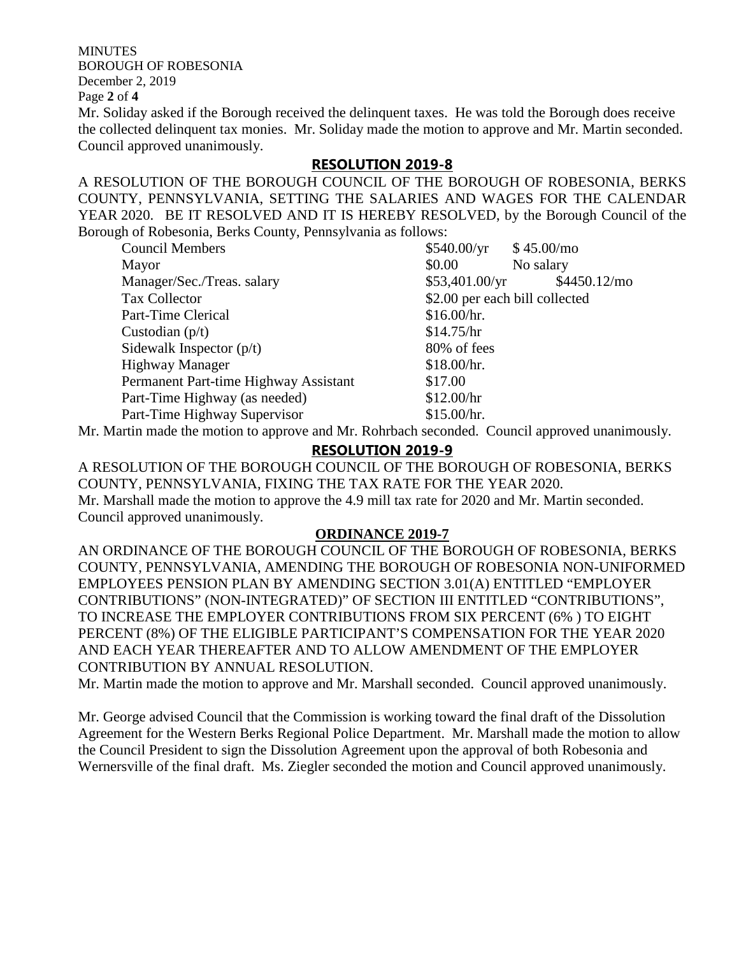MINUTES BOROUGH OF ROBESONIA December 2, 2019

Page **2** of **4**

Mr. Soliday asked if the Borough received the delinquent taxes. He was told the Borough does receive the collected delinquent tax monies. Mr. Soliday made the motion to approve and Mr. Martin seconded. Council approved unanimously.

## **RESOLUTION 2019-8**

A RESOLUTION OF THE BOROUGH COUNCIL OF THE BOROUGH OF ROBESONIA, BERKS COUNTY, PENNSYLVANIA, SETTING THE SALARIES AND WAGES FOR THE CALENDAR YEAR 2020. BE IT RESOLVED AND IT IS HEREBY RESOLVED, by the Borough Council of the Borough of Robesonia, Berks County, Pennsylvania as follows:

| <b>Council Members</b>                                                                                                                                                                                                                                                                                                                  | \$540.00/yr                    | \$45.00/mo    |
|-----------------------------------------------------------------------------------------------------------------------------------------------------------------------------------------------------------------------------------------------------------------------------------------------------------------------------------------|--------------------------------|---------------|
| Mayor                                                                                                                                                                                                                                                                                                                                   | \$0.00                         | No salary     |
| Manager/Sec./Treas. salary                                                                                                                                                                                                                                                                                                              | \$53,401.00/yr                 | \$4450.12/mol |
| Tax Collector                                                                                                                                                                                                                                                                                                                           | \$2.00 per each bill collected |               |
| Part-Time Clerical                                                                                                                                                                                                                                                                                                                      | \$16.00/hr.                    |               |
| Custodian $(p/t)$                                                                                                                                                                                                                                                                                                                       | \$14.75/hr                     |               |
| Sidewalk Inspector $(p/t)$                                                                                                                                                                                                                                                                                                              | 80% of fees                    |               |
| <b>Highway Manager</b>                                                                                                                                                                                                                                                                                                                  | \$18.00/hr.                    |               |
| Permanent Part-time Highway Assistant                                                                                                                                                                                                                                                                                                   | \$17.00                        |               |
| Part-Time Highway (as needed)                                                                                                                                                                                                                                                                                                           | \$12.00/hr                     |               |
| Part-Time Highway Supervisor                                                                                                                                                                                                                                                                                                            | \$15.00/hr.                    |               |
| $\mathbf{M}$ and $\mathbf{M}$ and $\mathbf{M}$ and $\mathbf{M}$ and $\mathbf{M}$ and $\mathbf{M}$ and $\mathbf{M}$ and $\mathbf{M}$ and $\mathbf{M}$ and $\mathbf{M}$ and $\mathbf{M}$ and $\mathbf{M}$ and $\mathbf{M}$ and $\mathbf{M}$ and $\mathbf{M}$ and $\mathbf{M}$ and $\mathbf{M}$ and<br>$1.1$ $\mu$ $\mu$ $\mu$ $\mu$ $\mu$ |                                |               |

Mr. Martin made the motion to approve and Mr. Rohrbach seconded. Council approved unanimously.

### **RESOLUTION 2019-9**

A RESOLUTION OF THE BOROUGH COUNCIL OF THE BOROUGH OF ROBESONIA, BERKS COUNTY, PENNSYLVANIA, FIXING THE TAX RATE FOR THE YEAR 2020. Mr. Marshall made the motion to approve the 4.9 mill tax rate for 2020 and Mr. Martin seconded. Council approved unanimously.

### **ORDINANCE 2019-7**

AN ORDINANCE OF THE BOROUGH COUNCIL OF THE BOROUGH OF ROBESONIA, BERKS COUNTY, PENNSYLVANIA, AMENDING THE BOROUGH OF ROBESONIA NON-UNIFORMED EMPLOYEES PENSION PLAN BY AMENDING SECTION 3.01(A) ENTITLED "EMPLOYER CONTRIBUTIONS" (NON-INTEGRATED)" OF SECTION III ENTITLED "CONTRIBUTIONS", TO INCREASE THE EMPLOYER CONTRIBUTIONS FROM SIX PERCENT (6% ) TO EIGHT PERCENT (8%) OF THE ELIGIBLE PARTICIPANT'S COMPENSATION FOR THE YEAR 2020 AND EACH YEAR THEREAFTER AND TO ALLOW AMENDMENT OF THE EMPLOYER CONTRIBUTION BY ANNUAL RESOLUTION.

Mr. Martin made the motion to approve and Mr. Marshall seconded. Council approved unanimously.

Mr. George advised Council that the Commission is working toward the final draft of the Dissolution Agreement for the Western Berks Regional Police Department. Mr. Marshall made the motion to allow the Council President to sign the Dissolution Agreement upon the approval of both Robesonia and Wernersville of the final draft. Ms. Ziegler seconded the motion and Council approved unanimously.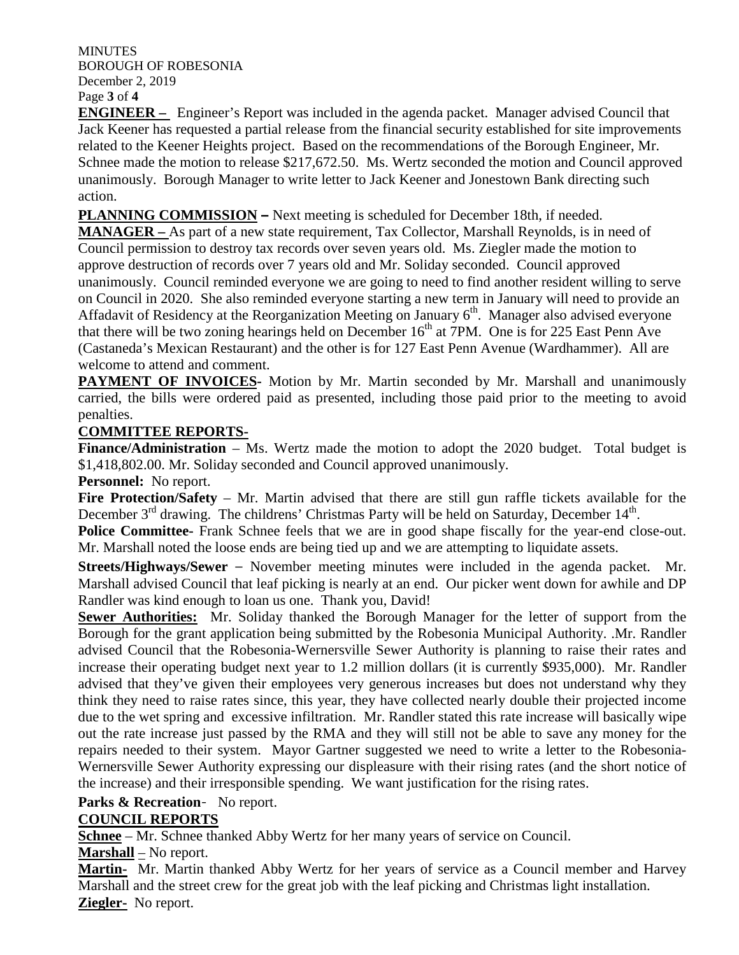**MINUTES** BOROUGH OF ROBESONIA December 2, 2019

Page **3** of **4**

**ENGINEER –** Engineer's Report was included in the agenda packet. Manager advised Council that Jack Keener has requested a partial release from the financial security established for site improvements related to the Keener Heights project. Based on the recommendations of the Borough Engineer, Mr. Schnee made the motion to release \$217,672.50. Ms. Wertz seconded the motion and Council approved unanimously. Borough Manager to write letter to Jack Keener and Jonestown Bank directing such action.

**PLANNING COMMISSION –** Next meeting is scheduled for December 18th, if needed.

**MANAGER –** As part of a new state requirement, Tax Collector, Marshall Reynolds, is in need of Council permission to destroy tax records over seven years old. Ms. Ziegler made the motion to approve destruction of records over 7 years old and Mr. Soliday seconded. Council approved unanimously. Council reminded everyone we are going to need to find another resident willing to serve on Council in 2020. She also reminded everyone starting a new term in January will need to provide an Affadavit of Residency at the Reorganization Meeting on January 6<sup>th</sup>. Manager also advised everyone that there will be two zoning hearings held on December  $16<sup>th</sup>$  at 7PM. One is for 225 East Penn Ave (Castaneda's Mexican Restaurant) and the other is for 127 East Penn Avenue (Wardhammer). All are welcome to attend and comment.

**PAYMENT OF INVOICES**- Motion by Mr. Martin seconded by Mr. Marshall and unanimously carried, the bills were ordered paid as presented, including those paid prior to the meeting to avoid penalties.

### **COMMITTEE REPORTS-**

**Finance/Administration** – Ms. Wertz made the motion to adopt the 2020 budget. Total budget is \$1,418,802.00. Mr. Soliday seconded and Council approved unanimously.

**Personnel:** No report.

**Fire Protection/Safety** – Mr. Martin advised that there are still gun raffle tickets available for the December  $3<sup>rd</sup>$  drawing. The childrens' Christmas Party will be held on Saturday, December  $14<sup>th</sup>$ .

**Police Committee-** Frank Schnee feels that we are in good shape fiscally for the year-end close-out. Mr. Marshall noted the loose ends are being tied up and we are attempting to liquidate assets.

**Streets/Highways/Sewer** – November meeting minutes were included in the agenda packet. Mr. Marshall advised Council that leaf picking is nearly at an end. Our picker went down for awhile and DP Randler was kind enough to loan us one. Thank you, David!

**Sewer Authorities:** Mr. Soliday thanked the Borough Manager for the letter of support from the Borough for the grant application being submitted by the Robesonia Municipal Authority. .Mr. Randler advised Council that the Robesonia-Wernersville Sewer Authority is planning to raise their rates and increase their operating budget next year to 1.2 million dollars (it is currently \$935,000). Mr. Randler advised that they've given their employees very generous increases but does not understand why they think they need to raise rates since, this year, they have collected nearly double their projected income due to the wet spring and excessive infiltration. Mr. Randler stated this rate increase will basically wipe out the rate increase just passed by the RMA and they will still not be able to save any money for the repairs needed to their system. Mayor Gartner suggested we need to write a letter to the Robesonia-Wernersville Sewer Authority expressing our displeasure with their rising rates (and the short notice of the increase) and their irresponsible spending. We want justification for the rising rates.

### **Parks & Recreation**- No report.

### **COUNCIL REPORTS**

**Schnee** – Mr. Schnee thanked Abby Wertz for her many years of service on Council.

### **Marshall** – No report.

**Martin-** Mr. Martin thanked Abby Wertz for her years of service as a Council member and Harvey Marshall and the street crew for the great job with the leaf picking and Christmas light installation. **Ziegler-** No report.